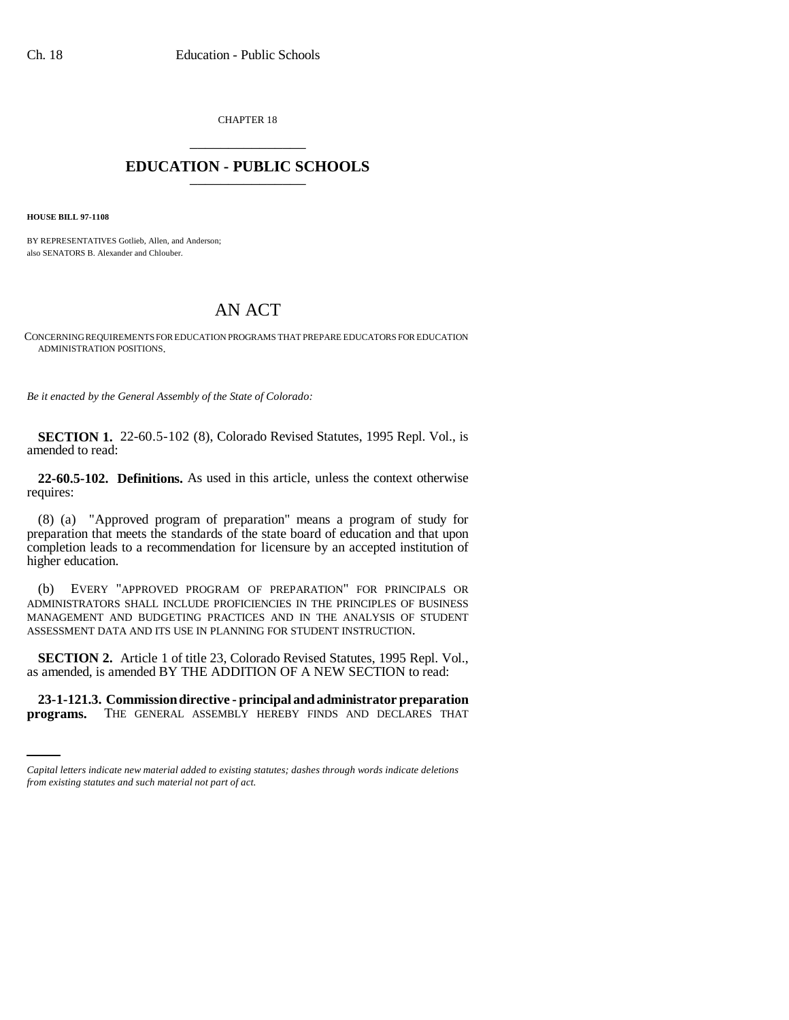CHAPTER 18 \_\_\_\_\_\_\_\_\_\_\_\_\_\_\_

## **EDUCATION - PUBLIC SCHOOLS** \_\_\_\_\_\_\_\_\_\_\_\_\_\_\_

**HOUSE BILL 97-1108**

BY REPRESENTATIVES Gotlieb, Allen, and Anderson; also SENATORS B. Alexander and Chlouber.

## AN ACT

CONCERNING REQUIREMENTS FOR EDUCATION PROGRAMS THAT PREPARE EDUCATORS FOR EDUCATION ADMINISTRATION POSITIONS.

*Be it enacted by the General Assembly of the State of Colorado:*

**SECTION 1.** 22-60.5-102 (8), Colorado Revised Statutes, 1995 Repl. Vol., is amended to read:

**22-60.5-102. Definitions.** As used in this article, unless the context otherwise requires:

(8) (a) "Approved program of preparation" means a program of study for preparation that meets the standards of the state board of education and that upon completion leads to a recommendation for licensure by an accepted institution of higher education.

(b) EVERY "APPROVED PROGRAM OF PREPARATION" FOR PRINCIPALS OR ADMINISTRATORS SHALL INCLUDE PROFICIENCIES IN THE PRINCIPLES OF BUSINESS MANAGEMENT AND BUDGETING PRACTICES AND IN THE ANALYSIS OF STUDENT ASSESSMENT DATA AND ITS USE IN PLANNING FOR STUDENT INSTRUCTION.

**SECTION 2.** Article 1 of title 23, Colorado Revised Statutes, 1995 Repl. Vol., as amended, is amended BY THE ADDITION OF A NEW SECTION to read:

 **23-1-121.3. Commission directive - principal and administrator preparation programs.** THE GENERAL ASSEMBLY HEREBY FINDS AND DECLARES THAT

*Capital letters indicate new material added to existing statutes; dashes through words indicate deletions from existing statutes and such material not part of act.*